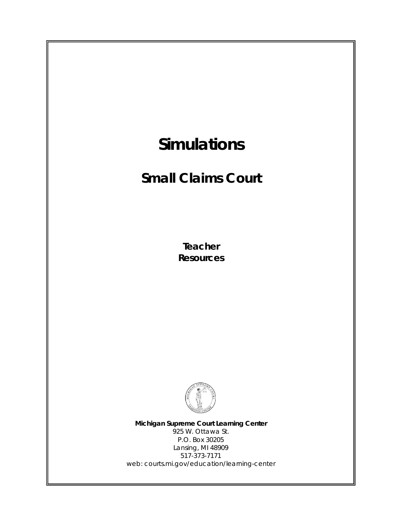

web: courts.mi.gov/education/learning-center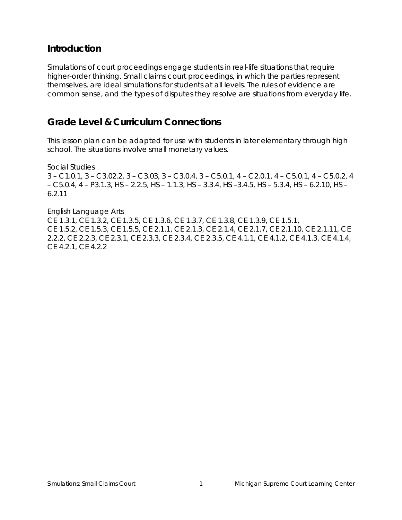## **Introduction**

Simulations of court proceedings engage students in real-life situations that require higher-order thinking. Small claims court proceedings, in which the parties represent themselves, are ideal simulations for students at all levels. The rules of evidence are common sense, and the types of disputes they resolve are situations from everyday life.

## **Grade Level & Curriculum Connections**

This lesson plan can be adapted for use with students in later elementary through high school. The situations involve small monetary values.

Social Studies 3 – C1.0.1, 3 – C3.02.2, 3 – C3.03, 3 – C3.0.4, 3 – C5.0.1, 4 – C2.0.1, 4 – C5.0.1, 4 – C5.0.2, 4 – C5.0.4, 4 – P3.1.3, HS – 2.2.5, HS – 1.1.3, HS – 3.3.4, HS –3.4.5, HS – 5.3.4, HS – 6.2.10, HS – 6.2.11

English Language Arts CE 1.3.1, CE 1.3.2, CE 1.3.5, CE 1.3.6, CE 1.3.7, CE 1.3.8, CE 1.3.9, CE 1.5.1, CE 1.5.2, CE 1.5.3, CE 1.5.5, CE 2.1.1, CE 2.1.3, CE 2.1.4, CE 2.1.7, CE 2.1.10, CE 2.1.11, CE 2.2.2, CE 2.2.3, CE 2.3.1, CE 2.3.3, CE 2.3.4, CE 2.3.5, CE 4.1.1, CE 4.1.2, CE 4.1.3, CE 4.1.4, CE 4.2.1, CE 4.2.2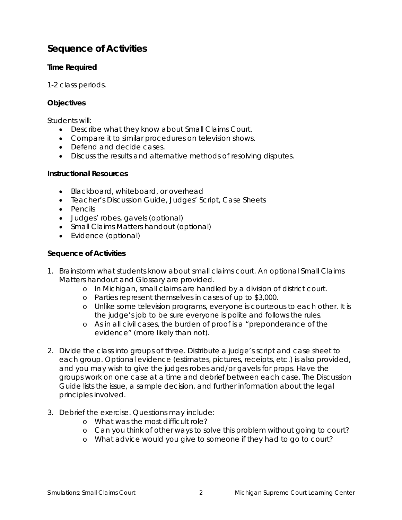# **Sequence of Activities**

## **Time Required**

1-2 class periods.

## **Objectives**

Students will:

- Describe what they know about Small Claims Court.
- Compare it to similar procedures on television shows.
- Defend and decide cases.
- Discuss the results and alternative methods of resolving disputes.

#### **Instructional Resources**

- Blackboard, whiteboard, or overhead
- Teacher's Discussion Guide, Judges' Script, Case Sheets
- Pencils
- Judges' robes, gavels (optional)
- Small Claims Matters handout (optional)
- Evidence (optional)

## **Sequence of Activities**

- 1. Brainstorm what students know about small claims court. An optional Small Claims Matters handout and Glossary are provided.
	- o In Michigan, small claims are handled by a division of district court.
	- o Parties represent themselves in cases of up to \$3,000.
	- o Unlike some television programs, everyone is courteous to each other. It is the judge's job to be sure everyone is polite and follows the rules.
	- o As in all civil cases, the burden of proof is a "preponderance of the evidence" (more likely than not).
- 2. Divide the class into groups of three. Distribute a judge's script and case sheet to each group. Optional evidence (estimates, pictures, receipts, etc.) is also provided, and you may wish to give the judges robes and/or gavels for props. Have the groups work on one case at a time and debrief between each case. The Discussion Guide lists the issue, a sample decision, and further information about the legal principles involved.
- 3. Debrief the exercise. Questions may include:
	- o What was the most difficult role?
	- o Can you think of other ways to solve this problem without going to court?
	- o What advice would you give to someone if they had to go to court?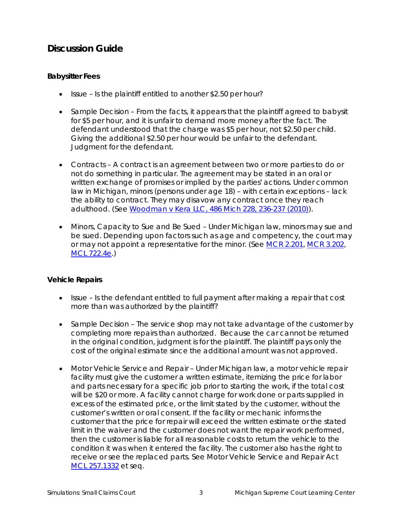# **Discussion Guide**

## **Babysitter Fees**

- Issue Is the plaintiff entitled to another \$2.50 per hour?
- Sample Decision From the facts, it appears that the plaintiff agreed to babysit for \$5 per hour, and it is unfair to demand more money after the fact. The defendant understood that the charge was \$5 per hour, not \$2.50 per child. Giving the additional \$2.50 per hour would be unfair to the defendant. Judgment for the defendant.
- Contracts A contract is an agreement between two or more parties to do or not do something in particular. The agreement may be stated in an oral or written exchange of promises or implied by the parties' actions. Under common law in Michigan, minors (persons under age 18) – with certain exceptions – lack the ability to contract. They may disavow any contract once they reach adulthood. (See *Woodman v Kera LLC*[, 486 Mich 228, 236-237 \(2010\)\)](http://publicdocs.courts.mi.gov:81/opinions/final/sct/20100618_s137347_74_woodman-op.pdf).
- Minors, Capacity to Sue and Be Sued Under Michigan law, minors may sue and be sued. Depending upon factors such as age and competency, the court may or may not appoint a representative for the minor. (See MCR [2.201,](http://courts.mi.gov/Courts/MichiganSupremeCourt/CurrentCourtRules/1Chapter2CivilProcedure.pdf) [MCR 3.202,](http://courts.mi.gov/Courts/MichiganSupremeCourt/CurrentCourtRules/1Chapter3SpecialProceedingsandActions.pdf) [MCL 722.4e.](http://legislature.mi.gov/doc.aspx?mcl-722-4e))

## **Vehicle Repairs**

- Issue Is the defendant entitled to full payment after making a repair that cost more than was authorized by the plaintiff?
- Sample Decision The service shop may not take advantage of the customer by completing more repairs than authorized. Because the car cannot be returned in the original condition, judgment is for the plaintiff. The plaintiff pays only the cost of the original estimate since the additional amount was not approved.
- Motor Vehicle Service and Repair Under Michigan law, a motor vehicle repair facility must give the customer a written estimate, itemizing the price for labor and parts necessary for a specific job prior to starting the work, if the total cost will be \$20 or more. A facility cannot charge for work done or parts supplied in excess of the estimated price, or the limit stated by the customer, without the customer's written or oral consent. If the facility or mechanic informs the customer that the price for repair will exceed the written estimate or the stated limit in the waiver and the customer does not want the repair work performed, then the customer is liable for all reasonable costs to return the vehicle to the condition it was when it entered the facility. The customer also has the right to receive or see the replaced parts. See Motor Vehicle Service and Repair Act [MCL 257.1332](http://legislature.mi.gov/doc.aspx?mcl-257-1332) et seq.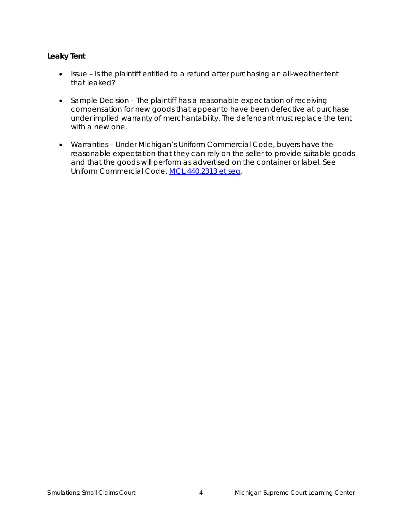## **Leaky Tent**

- Issue Is the plaintiff entitled to a refund after purchasing an all-weather tent that leaked?
- Sample Decision The plaintiff has a reasonable expectation of receiving compensation for new goods that appear to have been defective at purchase under implied warranty of merchantability. The defendant must replace the tent with a new one.
- Warranties Under Michigan's Uniform Commercial Code, buyers have the reasonable expectation that they can rely on the seller to provide suitable goods and that the goods will perform as advertised on the container or label. See Uniform Commercial Code, [MCL 440.2313 et seq.](http://legislature.mi.gov/doc.aspx?mcl-440-2313)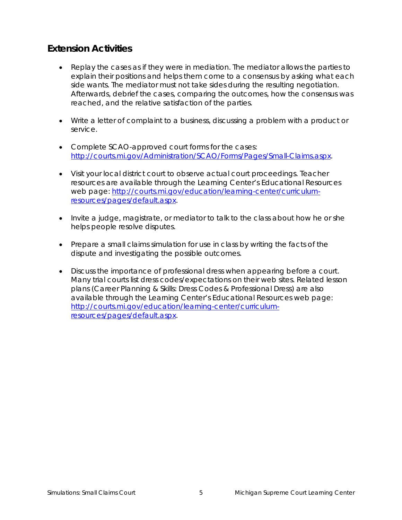# **Extension Activities**

- Replay the cases as if they were in mediation. The mediator allows the parties to explain their positions and helps them come to a consensus by asking what each side wants. The mediator must not take sides during the resulting negotiation. Afterwards, debrief the cases, comparing the outcomes, how the consensus was reached, and the relative satisfaction of the parties.
- Write a letter of complaint to a business, discussing a problem with a product or service.
- Complete SCAO-approved court forms for the cases: [http://courts.mi.gov/Administration/SCAO/Forms/Pages/Small-Claims.aspx.](http://courts.mi.gov/Administration/SCAO/Forms/Pages/Small-Claims.aspx)
- Visit your local district court to observe actual court proceedings. Teacher resources are available through the Learning Center's Educational Resources web page: [http://courts.mi.gov/education/learning-center/curriculum](http://courts.mi.gov/education/learning-center/curriculum-resources/pages/default.aspx)[resources/pages/default.aspx.](http://courts.mi.gov/education/learning-center/curriculum-resources/pages/default.aspx)
- Invite a judge, magistrate, or mediator to talk to the class about how he or she helps people resolve disputes.
- Prepare a small claims simulation for use in class by writing the facts of the dispute and investigating the possible outcomes.
- Discuss the importance of professional dress when appearing before a court. Many trial courts list dress codes/expectations on their web sites. Related lesson plans (Career Planning & Skills: Dress Codes & Professional Dress) are also available through the Learning Center's Educational Resources web page: [http://courts.mi.gov/education/learning-center/curriculum](http://courts.mi.gov/education/learning-center/curriculum-resources/pages/default.aspx)[resources/pages/default.aspx.](http://courts.mi.gov/education/learning-center/curriculum-resources/pages/default.aspx)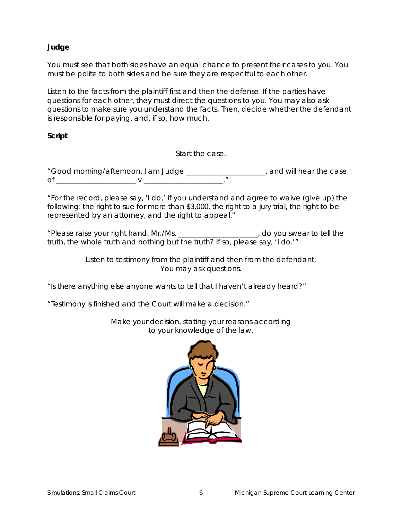### **Judge**

You must see that both sides have an equal chance to present their cases to you. You must be polite to both sides and be sure they are respectful to each other.

Listen to the facts from the plaintiff first and then the defense. If the parties have questions for each other, they must direct the questions to you. You may also ask questions to make sure you understand the facts. Then, decide whether the defendant is responsible for paying, and, if so, how much.

#### **Script**

Start the case.

"Good morning/afternoon. I am Judge \_\_\_\_\_\_\_\_\_\_\_\_\_\_\_\_\_\_\_\_\_\_, and will hear the case of \_\_\_\_\_\_\_\_\_\_\_\_\_\_\_\_\_\_\_\_\_\_ v \_\_\_\_\_\_\_\_\_\_\_\_\_\_\_\_\_\_\_\_\_\_."

"For the record, please say, 'I do,' if you understand and agree to waive (give up) the following: the right to sue for more than \$3,000, the right to a jury trial, the right to be represented by an attorney, and the right to appeal."

"Please raise your right hand. Mr./Ms. \_\_\_\_\_\_\_\_\_\_\_\_\_\_\_\_\_\_\_\_\_\_, do you swear to tell the truth, the whole truth and nothing but the truth? If so, please say, 'I do.'"

> Listen to testimony from the plaintiff and then from the defendant. You may ask questions.

"Is there anything else anyone wants to tell that I haven't already heard?"

"Testimony is finished and the Court will make a decision."



Make your decision, stating your reasons according to your knowledge of the law.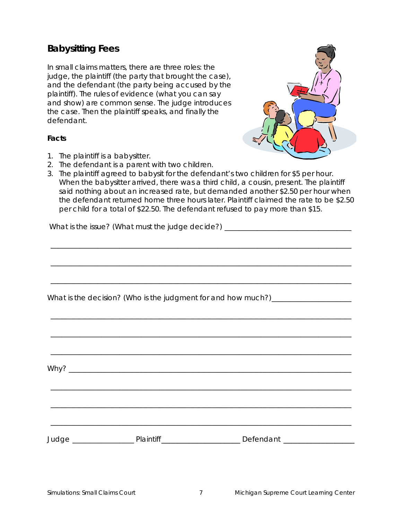# **Babysitting Fees**

In small claims matters, there are three roles: the judge, the plaintiff (the party that brought the case), and the defendant (the party being accused by the plaintiff). The rules of evidence (what you can say and show) are common sense. The judge introduces the case. Then the plaintiff speaks, and finally the defendant.

#### **Facts**

- 1. The plaintiff is a babysitter.
- 2. The defendant is a parent with two children.
- 3. The plaintiff agreed to babysit for the defendant's two children for \$5 per hour. When the babysitter arrived, there was a third child, a cousin, present. The plaintiff said nothing about an increased rate, but demanded another \$2.50 per hour when the defendant returned home three hours later. Plaintiff claimed the rate to be \$2.50 per child for a total of \$22.50. The defendant refused to pay more than \$15.

\_\_\_\_\_\_\_\_\_\_\_\_\_\_\_\_\_\_\_\_\_\_\_\_\_\_\_\_\_\_\_\_\_\_\_\_\_\_\_\_\_\_\_\_\_\_\_\_\_\_\_\_\_\_\_\_\_\_\_\_\_\_\_\_\_\_\_\_\_\_\_\_\_\_\_\_\_\_\_\_\_\_\_

\_\_\_\_\_\_\_\_\_\_\_\_\_\_\_\_\_\_\_\_\_\_\_\_\_\_\_\_\_\_\_\_\_\_\_\_\_\_\_\_\_\_\_\_\_\_\_\_\_\_\_\_\_\_\_\_\_\_\_\_\_\_\_\_\_\_\_\_\_\_\_\_\_\_\_\_\_\_\_\_\_\_\_

\_\_\_\_\_\_\_\_\_\_\_\_\_\_\_\_\_\_\_\_\_\_\_\_\_\_\_\_\_\_\_\_\_\_\_\_\_\_\_\_\_\_\_\_\_\_\_\_\_\_\_\_\_\_\_\_\_\_\_\_\_\_\_\_\_\_\_\_\_\_\_\_\_\_\_\_\_\_\_\_\_\_\_

\_\_\_\_\_\_\_\_\_\_\_\_\_\_\_\_\_\_\_\_\_\_\_\_\_\_\_\_\_\_\_\_\_\_\_\_\_\_\_\_\_\_\_\_\_\_\_\_\_\_\_\_\_\_\_\_\_\_\_\_\_\_\_\_\_\_\_\_\_\_\_\_\_\_\_\_\_\_\_\_\_\_\_

\_\_\_\_\_\_\_\_\_\_\_\_\_\_\_\_\_\_\_\_\_\_\_\_\_\_\_\_\_\_\_\_\_\_\_\_\_\_\_\_\_\_\_\_\_\_\_\_\_\_\_\_\_\_\_\_\_\_\_\_\_\_\_\_\_\_\_\_\_\_\_\_\_\_\_\_\_\_\_\_\_\_\_

\_\_\_\_\_\_\_\_\_\_\_\_\_\_\_\_\_\_\_\_\_\_\_\_\_\_\_\_\_\_\_\_\_\_\_\_\_\_\_\_\_\_\_\_\_\_\_\_\_\_\_\_\_\_\_\_\_\_\_\_\_\_\_\_\_\_\_\_\_\_\_\_\_\_\_\_\_\_\_\_\_\_\_

\_\_\_\_\_\_\_\_\_\_\_\_\_\_\_\_\_\_\_\_\_\_\_\_\_\_\_\_\_\_\_\_\_\_\_\_\_\_\_\_\_\_\_\_\_\_\_\_\_\_\_\_\_\_\_\_\_\_\_\_\_\_\_\_\_\_\_\_\_\_\_\_\_\_\_\_\_\_\_\_\_\_\_

\_\_\_\_\_\_\_\_\_\_\_\_\_\_\_\_\_\_\_\_\_\_\_\_\_\_\_\_\_\_\_\_\_\_\_\_\_\_\_\_\_\_\_\_\_\_\_\_\_\_\_\_\_\_\_\_\_\_\_\_\_\_\_\_\_\_\_\_\_\_\_\_\_\_\_\_\_\_\_\_\_\_\_

\_\_\_\_\_\_\_\_\_\_\_\_\_\_\_\_\_\_\_\_\_\_\_\_\_\_\_\_\_\_\_\_\_\_\_\_\_\_\_\_\_\_\_\_\_\_\_\_\_\_\_\_\_\_\_\_\_\_\_\_\_\_\_\_\_\_\_\_\_\_\_\_\_\_\_\_\_\_\_\_\_\_\_

What is the issue? (What must the judge decide?) \_\_\_\_\_\_\_\_\_\_\_\_\_\_\_\_\_\_\_\_\_\_\_\_\_\_\_\_\_\_\_

What is the decision? (Who is the judgment for and how much?) \_\_\_\_\_\_\_\_\_\_\_\_\_\_\_\_\_\_

Why? \_\_\_\_\_\_\_\_\_\_\_\_\_\_\_\_\_\_\_\_\_\_\_\_\_\_\_\_\_\_\_\_\_\_\_\_\_\_\_\_\_\_\_\_\_\_\_\_\_\_\_\_\_\_\_\_\_\_\_\_\_\_\_\_\_\_\_\_\_\_\_\_\_\_\_\_\_\_

Judge \_\_\_\_\_\_\_\_\_\_\_\_\_\_\_\_\_ Plaintiff\_\_\_\_\_\_\_\_\_\_\_\_\_\_\_\_\_\_\_\_ Defendant \_\_\_\_\_\_\_\_\_\_\_\_\_\_\_\_\_\_

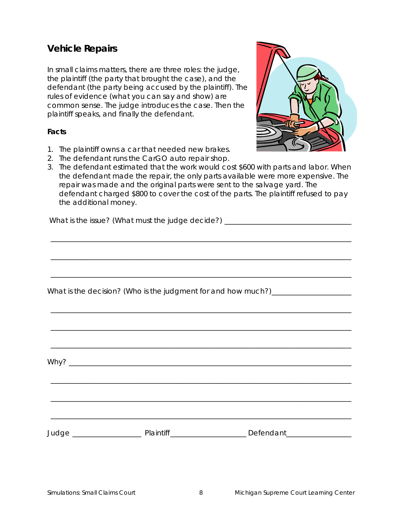## **Vehicle Repairs**

In small claims matters, there are three roles: the judge, the plaintiff (the party that brought the case), and the defendant (the party being accused by the plaintiff). The rules of evidence (what you can say and show) are common sense. The judge introduces the case. Then the plaintiff speaks, and finally the defendant.

#### **Facts**

- 1. The plaintiff owns a car that needed new brakes.
- 2. The defendant runs the CarGO auto repair shop.
- 3. The defendant estimated that the work would cost \$600 with parts and labor. When the defendant made the repair, the only parts available were more expensive. The repair was made and the original parts were sent to the salvage yard. The defendant charged \$800 to cover the cost of the parts. The plaintiff refused to pay the additional money.

\_\_\_\_\_\_\_\_\_\_\_\_\_\_\_\_\_\_\_\_\_\_\_\_\_\_\_\_\_\_\_\_\_\_\_\_\_\_\_\_\_\_\_\_\_\_\_\_\_\_\_\_\_\_\_\_\_\_\_\_\_\_\_\_\_\_\_\_\_\_\_\_\_\_\_\_\_\_\_\_\_\_\_

\_\_\_\_\_\_\_\_\_\_\_\_\_\_\_\_\_\_\_\_\_\_\_\_\_\_\_\_\_\_\_\_\_\_\_\_\_\_\_\_\_\_\_\_\_\_\_\_\_\_\_\_\_\_\_\_\_\_\_\_\_\_\_\_\_\_\_\_\_\_\_\_\_\_\_\_\_\_\_\_\_\_\_

\_\_\_\_\_\_\_\_\_\_\_\_\_\_\_\_\_\_\_\_\_\_\_\_\_\_\_\_\_\_\_\_\_\_\_\_\_\_\_\_\_\_\_\_\_\_\_\_\_\_\_\_\_\_\_\_\_\_\_\_\_\_\_\_\_\_\_\_\_\_\_\_\_\_\_\_\_\_\_\_\_\_\_

\_\_\_\_\_\_\_\_\_\_\_\_\_\_\_\_\_\_\_\_\_\_\_\_\_\_\_\_\_\_\_\_\_\_\_\_\_\_\_\_\_\_\_\_\_\_\_\_\_\_\_\_\_\_\_\_\_\_\_\_\_\_\_\_\_\_\_\_\_\_\_\_\_\_\_\_\_\_\_\_\_\_\_

\_\_\_\_\_\_\_\_\_\_\_\_\_\_\_\_\_\_\_\_\_\_\_\_\_\_\_\_\_\_\_\_\_\_\_\_\_\_\_\_\_\_\_\_\_\_\_\_\_\_\_\_\_\_\_\_\_\_\_\_\_\_\_\_\_\_\_\_\_\_\_\_\_\_\_\_\_\_\_\_\_\_\_

\_\_\_\_\_\_\_\_\_\_\_\_\_\_\_\_\_\_\_\_\_\_\_\_\_\_\_\_\_\_\_\_\_\_\_\_\_\_\_\_\_\_\_\_\_\_\_\_\_\_\_\_\_\_\_\_\_\_\_\_\_\_\_\_\_\_\_\_\_\_\_\_\_\_\_\_\_\_\_\_\_\_\_

\_\_\_\_\_\_\_\_\_\_\_\_\_\_\_\_\_\_\_\_\_\_\_\_\_\_\_\_\_\_\_\_\_\_\_\_\_\_\_\_\_\_\_\_\_\_\_\_\_\_\_\_\_\_\_\_\_\_\_\_\_\_\_\_\_\_\_\_\_\_\_\_\_\_\_\_\_\_\_\_\_\_\_

\_\_\_\_\_\_\_\_\_\_\_\_\_\_\_\_\_\_\_\_\_\_\_\_\_\_\_\_\_\_\_\_\_\_\_\_\_\_\_\_\_\_\_\_\_\_\_\_\_\_\_\_\_\_\_\_\_\_\_\_\_\_\_\_\_\_\_\_\_\_\_\_\_\_\_\_\_\_\_\_\_\_\_

\_\_\_\_\_\_\_\_\_\_\_\_\_\_\_\_\_\_\_\_\_\_\_\_\_\_\_\_\_\_\_\_\_\_\_\_\_\_\_\_\_\_\_\_\_\_\_\_\_\_\_\_\_\_\_\_\_\_\_\_\_\_\_\_\_\_\_\_\_\_\_\_\_\_\_\_\_\_\_\_\_\_\_

 $W$ hy?

What is the issue? (What must the judge decide?) \_\_\_\_\_\_\_\_\_\_\_\_\_\_\_\_\_\_\_\_\_\_\_\_\_\_\_\_\_\_\_

What is the decision? (Who is the judgment for and how much?) \_\_\_\_\_\_\_\_\_\_\_\_\_\_\_\_\_\_

Judge \_\_\_\_\_\_\_\_\_\_\_\_\_\_\_\_\_\_\_ Plaintiff\_\_\_\_\_\_\_\_\_\_\_\_\_\_\_\_\_\_\_\_\_ Defendant\_\_\_\_\_\_\_\_\_\_\_\_\_\_\_\_\_\_

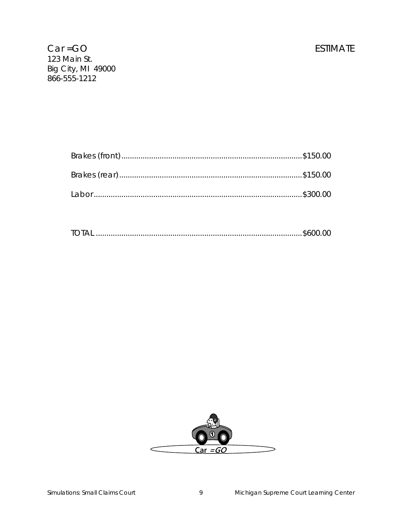# **ESTIMATE**

|--|--|--|

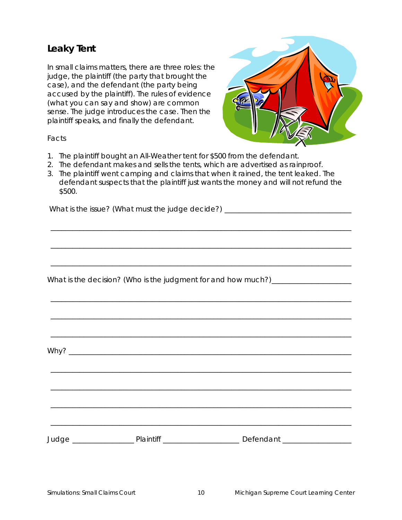# **Leaky Tent**

In small claims matters, there are three roles: the judge, the plaintiff (the party that brought the case), and the defendant (the party being accused by the plaintiff). The rules of evidence (what you can say and show) are common sense. The judge introduces the case. Then the plaintiff speaks, and finally the defendant.



#### Facts

- 1. The plaintiff bought an All-Weather tent for \$500 from the defendant.
- 2. The defendant makes and sells the tents, which are advertised as rainproof.
- 3. The plaintiff went camping and claims that when it rained, the tent leaked. The defendant suspects that the plaintiff just wants the money and will not refund the \$500.

\_\_\_\_\_\_\_\_\_\_\_\_\_\_\_\_\_\_\_\_\_\_\_\_\_\_\_\_\_\_\_\_\_\_\_\_\_\_\_\_\_\_\_\_\_\_\_\_\_\_\_\_\_\_\_\_\_\_\_\_\_\_\_\_\_\_\_\_\_\_\_\_\_\_\_\_\_\_\_\_\_\_\_

\_\_\_\_\_\_\_\_\_\_\_\_\_\_\_\_\_\_\_\_\_\_\_\_\_\_\_\_\_\_\_\_\_\_\_\_\_\_\_\_\_\_\_\_\_\_\_\_\_\_\_\_\_\_\_\_\_\_\_\_\_\_\_\_\_\_\_\_\_\_\_\_\_\_\_\_\_\_\_\_\_\_\_

\_\_\_\_\_\_\_\_\_\_\_\_\_\_\_\_\_\_\_\_\_\_\_\_\_\_\_\_\_\_\_\_\_\_\_\_\_\_\_\_\_\_\_\_\_\_\_\_\_\_\_\_\_\_\_\_\_\_\_\_\_\_\_\_\_\_\_\_\_\_\_\_\_\_\_\_\_\_\_\_\_\_\_

\_\_\_\_\_\_\_\_\_\_\_\_\_\_\_\_\_\_\_\_\_\_\_\_\_\_\_\_\_\_\_\_\_\_\_\_\_\_\_\_\_\_\_\_\_\_\_\_\_\_\_\_\_\_\_\_\_\_\_\_\_\_\_\_\_\_\_\_\_\_\_\_\_\_\_\_\_\_\_\_\_\_\_

\_\_\_\_\_\_\_\_\_\_\_\_\_\_\_\_\_\_\_\_\_\_\_\_\_\_\_\_\_\_\_\_\_\_\_\_\_\_\_\_\_\_\_\_\_\_\_\_\_\_\_\_\_\_\_\_\_\_\_\_\_\_\_\_\_\_\_\_\_\_\_\_\_\_\_\_\_\_\_\_\_\_\_

\_\_\_\_\_\_\_\_\_\_\_\_\_\_\_\_\_\_\_\_\_\_\_\_\_\_\_\_\_\_\_\_\_\_\_\_\_\_\_\_\_\_\_\_\_\_\_\_\_\_\_\_\_\_\_\_\_\_\_\_\_\_\_\_\_\_\_\_\_\_\_\_\_\_\_\_\_\_\_\_\_\_\_

\_\_\_\_\_\_\_\_\_\_\_\_\_\_\_\_\_\_\_\_\_\_\_\_\_\_\_\_\_\_\_\_\_\_\_\_\_\_\_\_\_\_\_\_\_\_\_\_\_\_\_\_\_\_\_\_\_\_\_\_\_\_\_\_\_\_\_\_\_\_\_\_\_\_\_\_\_\_\_\_\_\_\_

\_\_\_\_\_\_\_\_\_\_\_\_\_\_\_\_\_\_\_\_\_\_\_\_\_\_\_\_\_\_\_\_\_\_\_\_\_\_\_\_\_\_\_\_\_\_\_\_\_\_\_\_\_\_\_\_\_\_\_\_\_\_\_\_\_\_\_\_\_\_\_\_\_\_\_\_\_\_\_\_\_\_\_

\_\_\_\_\_\_\_\_\_\_\_\_\_\_\_\_\_\_\_\_\_\_\_\_\_\_\_\_\_\_\_\_\_\_\_\_\_\_\_\_\_\_\_\_\_\_\_\_\_\_\_\_\_\_\_\_\_\_\_\_\_\_\_\_\_\_\_\_\_\_\_\_\_\_\_\_\_\_\_\_\_\_\_

\_\_\_\_\_\_\_\_\_\_\_\_\_\_\_\_\_\_\_\_\_\_\_\_\_\_\_\_\_\_\_\_\_\_\_\_\_\_\_\_\_\_\_\_\_\_\_\_\_\_\_\_\_\_\_\_\_\_\_\_\_\_\_\_\_\_\_\_\_\_\_\_\_\_\_\_\_\_\_\_\_\_\_

What is the issue? (What must the judge decide?) \_\_\_\_\_\_\_\_\_\_\_\_\_\_\_\_\_\_\_\_\_\_\_\_\_\_\_\_\_\_\_

What is the decision? (Who is the judgment for and how much?) \_\_\_\_\_\_\_\_\_\_\_\_\_\_\_\_\_\_

Why? \_\_\_\_\_\_\_\_\_\_\_\_\_\_\_\_\_\_\_\_\_\_\_\_\_\_\_\_\_\_\_\_\_\_\_\_\_\_\_\_\_\_\_\_\_\_\_\_\_\_\_\_\_\_\_\_\_\_\_\_\_\_\_\_\_\_\_\_\_\_\_\_\_\_\_\_\_\_

Judge \_\_\_\_\_\_\_\_\_\_\_\_\_\_\_\_\_ Plaintiff \_\_\_\_\_\_\_\_\_\_\_\_\_\_\_\_\_\_\_\_\_ Defendant \_\_\_\_\_\_\_\_\_\_\_\_\_\_\_\_\_\_\_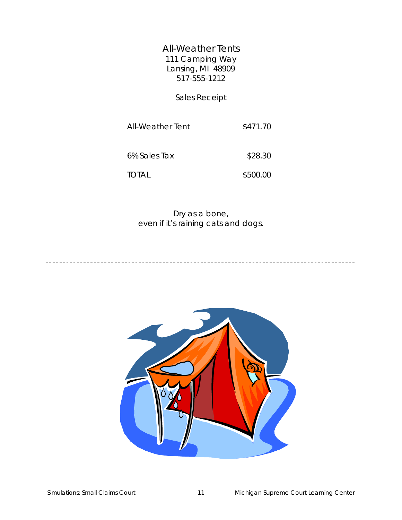All-Weather Tents 111 Camping Way Lansing, MI 48909 517-555-1212

Sales Receipt

All-Weather Tent \$471.70

6% Sales Tax \$28.30

TOTAL \$500.00

Dry as a bone, even if it's raining cats and dogs.

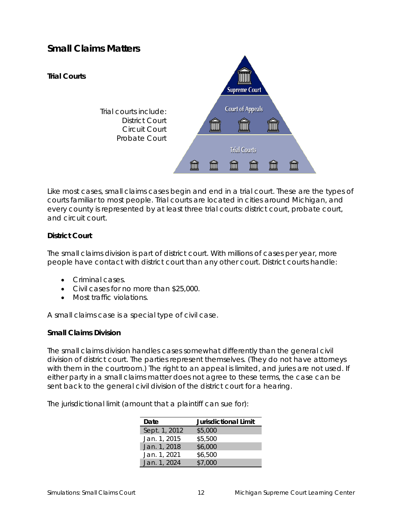# **Small Claims Matters**



Like most cases, small claims cases begin and end in a trial court. These are the types of courts familiar to most people. Trial courts are located in cities around Michigan, and every county is represented by at least three trial courts: district court, probate court, and circuit court.

## **District Court**

The small claims division is part of district court. With millions of cases per year, more people have contact with district court than any other court. District courts handle:

- Criminal cases.
- Civil cases for no more than \$25,000.
- Most traffic violations.

A small claims case is a special type of civil case.

#### **Small Claims Division**

The small claims division handles cases somewhat differently than the general civil division of district court. The parties represent themselves. (They do not have attorneys with them in the courtroom.) The right to an appeal is limited, and juries are not used. If either party in a small claims matter does not agree to these terms, the case can be sent back to the general civil division of the district court for a hearing.

The jurisdictional limit (amount that a plaintiff can sue for):

| Date          | <b>Jurisdictional Limit</b> |
|---------------|-----------------------------|
| Sept. 1, 2012 | \$5,000                     |
| Jan. 1, 2015  | \$5,500                     |
| Jan. 1, 2018  | \$6,000                     |
| Jan. 1, 2021  | \$6,500                     |
| Jan. 1, 2024  | \$7.000                     |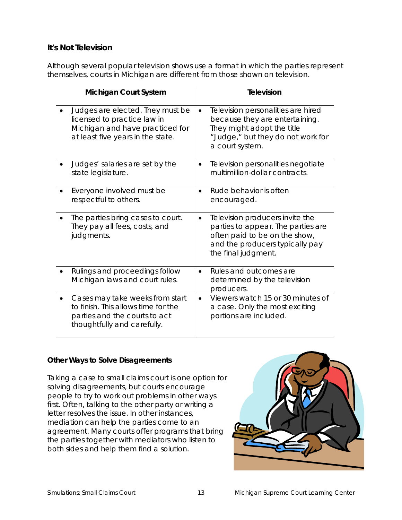## **It's Not Television**

Although several popular television shows use a format in which the parties represent themselves, courts in Michigan are different from those shown on television.

| <b>Michigan Court System</b>                                                                                                            | <b>Television</b>                                                                                                                                                             |
|-----------------------------------------------------------------------------------------------------------------------------------------|-------------------------------------------------------------------------------------------------------------------------------------------------------------------------------|
| Judges are elected. They must be<br>licensed to practice law in<br>Michigan and have practiced for<br>at least five years in the state. | Television personalities are hired<br>$\bullet$<br>because they are entertaining.<br>They might adopt the title<br>"Judge," but they do not work for<br>a court system.       |
| Judges' salaries are set by the<br>state legislature.                                                                                   | Television personalities negotiate<br>$\bullet$<br>multimillion-dollar contracts.                                                                                             |
| Everyone involved must be<br>respectful to others.                                                                                      | Rude behavior is often<br>encouraged.                                                                                                                                         |
| The parties bring cases to court.<br>They pay all fees, costs, and<br>judgments.                                                        | Television producers invite the<br>$\bullet$<br>parties to appear. The parties are<br>often paid to be on the show,<br>and the producers typically pay<br>the final judgment. |
| Rulings and proceedings follow<br>Michigan laws and court rules.                                                                        | Rules and outcomes are<br>$\bullet$<br>determined by the television<br>producers.                                                                                             |
| Cases may take weeks from start<br>to finish. This allows time for the<br>parties and the courts to act<br>thoughtfully and carefully.  | Viewers watch 15 or 30 minutes of<br>$\bullet$<br>a case. Only the most exciting<br>portions are included.                                                                    |

## **Other Ways to Solve Disagreements**

Taking a case to small claims court is one option for solving disagreements, but courts encourage people to try to work out problems in other ways first. Often, talking to the other party or writing a letter resolves the issue. In other instances, mediation can help the parties come to an agreement. Many courts offer programs that bring the parties together with mediators who listen to both sides and help them find a solution.

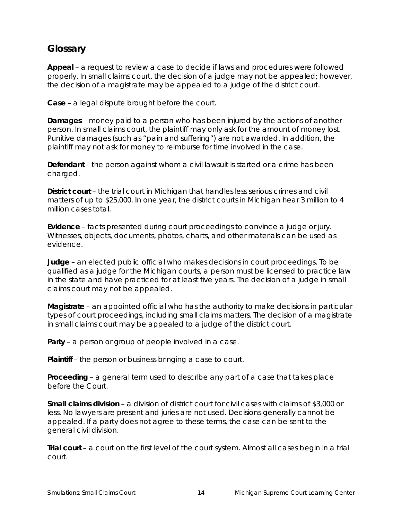## **Glossary**

**Appeal** – a request to review a case to decide if laws and procedures were followed properly. In small claims court, the decision of a judge may not be appealed; however, the decision of a magistrate may be appealed to a judge of the district court.

**Case** – a legal dispute brought before the court.

**Damages** – money paid to a person who has been injured by the actions of another person. In small claims court, the plaintiff may only ask for the amount of money lost. Punitive damages (such as "pain and suffering") are not awarded. In addition, the plaintiff may not ask for money to reimburse for time involved in the case.

**Defendant** – the person against whom a civil lawsuit is started or a crime has been charged.

**District court** – the trial court in Michigan that handles less serious crimes and civil matters of up to \$25,000. In one year, the district courts in Michigan hear 3 million to 4 million cases total.

**Evidence** – facts presented during court proceedings to convince a judge or jury. Witnesses, objects, documents, photos, charts, and other materials can be used as evidence.

**Judge** – an elected public official who makes decisions in court proceedings. To be qualified as a judge for the Michigan courts, a person must be licensed to practice law in the state and have practiced for at least five years. The decision of a judge in small claims court may not be appealed.

**Magistrate** – an appointed official who has the authority to make decisions in particular types of court proceedings, including small claims matters. The decision of a magistrate in small claims court may be appealed to a judge of the district court.

**Party** – a person or group of people involved in a case.

**Plaintiff** – the person or business bringing a case to court.

**Proceeding** – a general term used to describe any part of a case that takes place before the Court.

**Small claims division** – a division of district court for civil cases with claims of \$3,000 or less. No lawyers are present and juries are not used. Decisions generally cannot be appealed. If a party does not agree to these terms, the case can be sent to the general civil division.

**Trial court** – a court on the first level of the court system. Almost all cases begin in a trial court.